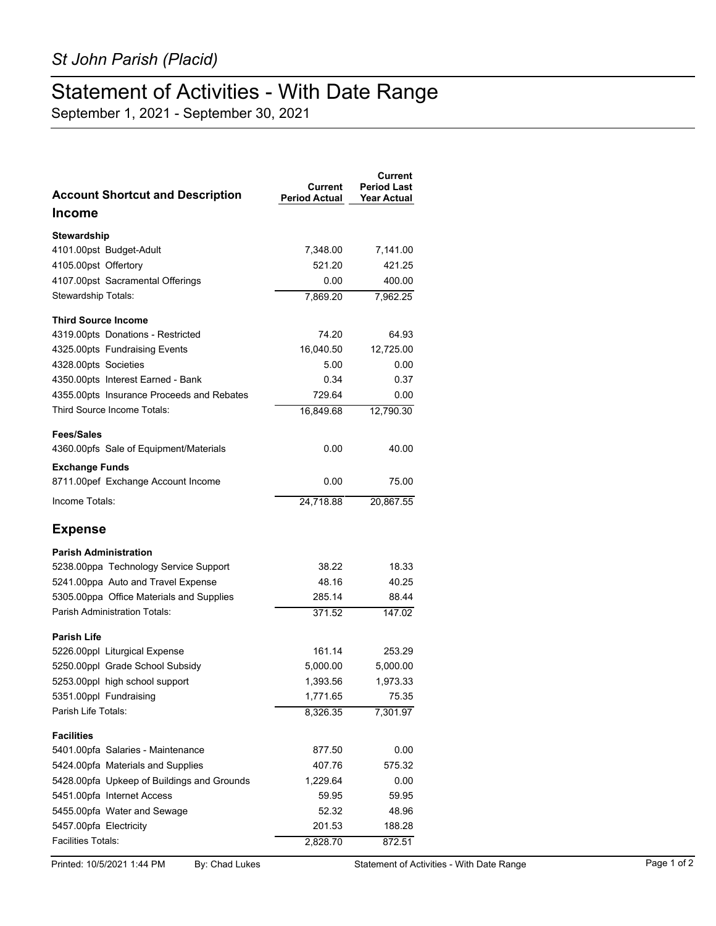## Statement of Activities - With Date Range

September 1, 2021 - September 30, 2021

| <b>Account Shortcut and Description</b>    | Current<br><b>Period Actual</b> | <b>Current</b><br><b>Period Last</b><br><b>Year Actual</b> |
|--------------------------------------------|---------------------------------|------------------------------------------------------------|
| <b>Income</b>                              |                                 |                                                            |
| Stewardship                                |                                 |                                                            |
| 4101.00pst Budget-Adult                    | 7,348.00                        | 7,141.00                                                   |
| 4105.00pst Offertory                       | 521.20                          | 421.25                                                     |
| 4107.00pst Sacramental Offerings           | 0.00                            | 400.00                                                     |
| Stewardship Totals:                        | 7,869.20                        | 7,962.25                                                   |
| <b>Third Source Income</b>                 |                                 |                                                            |
| 4319.00pts Donations - Restricted          | 74.20                           | 64.93                                                      |
| 4325.00pts Fundraising Events              | 16,040.50                       | 12,725.00                                                  |
| 4328.00pts Societies                       | 5.00                            | 0.00                                                       |
| 4350.00pts Interest Earned - Bank          | 0.34                            | 0.37                                                       |
| 4355.00pts Insurance Proceeds and Rebates  | 729.64                          | 0.00                                                       |
| Third Source Income Totals:                | 16,849.68                       | 12,790.30                                                  |
| <b>Fees/Sales</b>                          |                                 |                                                            |
| 4360.00pfs Sale of Equipment/Materials     | 0.00                            | 40.00                                                      |
| <b>Exchange Funds</b>                      |                                 |                                                            |
| 8711.00pef Exchange Account Income         | 0.00                            | 75.00                                                      |
| Income Totals:                             | 24,718.88                       | 20,867.55                                                  |
| <b>Expense</b>                             |                                 |                                                            |
| <b>Parish Administration</b>               |                                 |                                                            |
| 5238.00ppa Technology Service Support      | 38.22                           | 18.33                                                      |
| 5241.00ppa Auto and Travel Expense         | 48.16                           | 40.25                                                      |
| 5305.00ppa Office Materials and Supplies   | 285.14                          | 88.44                                                      |
| Parish Administration Totals:              | 371.52                          | 147.02                                                     |
| <b>Parish Life</b>                         |                                 |                                                            |
| 5226.00ppl Liturgical Expense              | 161.14                          | 253.29                                                     |
| 5250.00ppl Grade School Subsidy            | 5,000.00                        | 5,000.00                                                   |
| 5253.00ppl high school support             | 1,393.56                        | 1,973.33                                                   |
| 5351.00ppl Fundraising                     | 1,771.65                        | 75.35                                                      |
| Parish Life Totals:                        | 8,326.35                        | 7,301.97                                                   |
| <b>Facilities</b>                          |                                 |                                                            |
| 5401.00pfa Salaries - Maintenance          | 877.50                          | 0.00                                                       |
| 5424.00pfa Materials and Supplies          | 407.76                          | 575.32                                                     |
| 5428.00pfa Upkeep of Buildings and Grounds | 1,229.64                        | 0.00                                                       |
| 5451.00pfa Internet Access                 | 59.95                           | 59.95                                                      |
| 5455.00pfa Water and Sewage                | 52.32                           | 48.96                                                      |
| 5457.00pfa Electricity                     | 201.53                          | 188.28                                                     |
| <b>Facilities Totals:</b>                  | 2,828.70                        | 872.51                                                     |